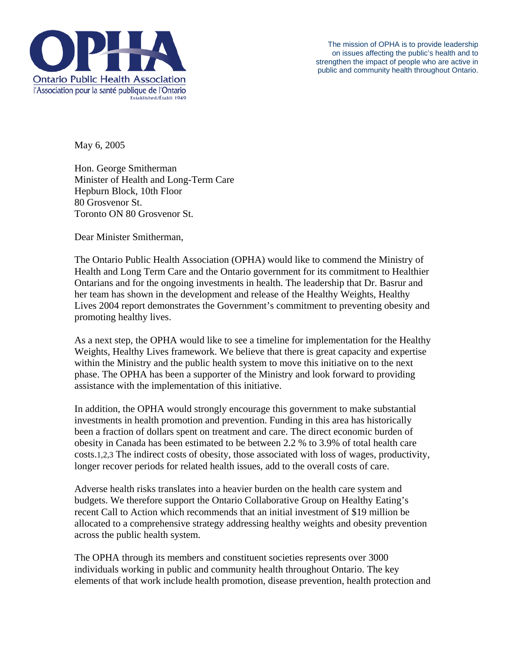

The mission of OPHA is to provide leadership on issues affecting the public's health and to strengthen the impact of people who are active in public and community health throughout Ontario.

May 6, 2005

Hon. George Smitherman Minister of Health and Long-Term Care Hepburn Block, 10th Floor 80 Grosvenor St. Toronto ON 80 Grosvenor St.

Dear Minister Smitherman,

The Ontario Public Health Association (OPHA) would like to commend the Ministry of Health and Long Term Care and the Ontario government for its commitment to Healthier Ontarians and for the ongoing investments in health. The leadership that Dr. Basrur and her team has shown in the development and release of the Healthy Weights, Healthy Lives 2004 report demonstrates the Government's commitment to preventing obesity and promoting healthy lives.

As a next step, the OPHA would like to see a timeline for implementation for the Healthy Weights, Healthy Lives framework. We believe that there is great capacity and expertise within the Ministry and the public health system to move this initiative on to the next phase. The OPHA has been a supporter of the Ministry and look forward to providing assistance with the implementation of this initiative.

In addition, the OPHA would strongly encourage this government to make substantial investments in health promotion and prevention. Funding in this area has historically been a fraction of dollars spent on treatment and care. The direct economic burden of obesity in Canada has been estimated to be between 2.2 % to 3.9% of total health care costs.1,2,3 The indirect costs of obesity, those associated with loss of wages, productivity, longer recover periods for related health issues, add to the overall costs of care.

Adverse health risks translates into a heavier burden on the health care system and budgets. We therefore support the Ontario Collaborative Group on Healthy Eating's recent Call to Action which recommends that an initial investment of \$19 million be allocated to a comprehensive strategy addressing healthy weights and obesity prevention across the public health system.

The OPHA through its members and constituent societies represents over 3000 individuals working in public and community health throughout Ontario. The key elements of that work include health promotion, disease prevention, health protection and